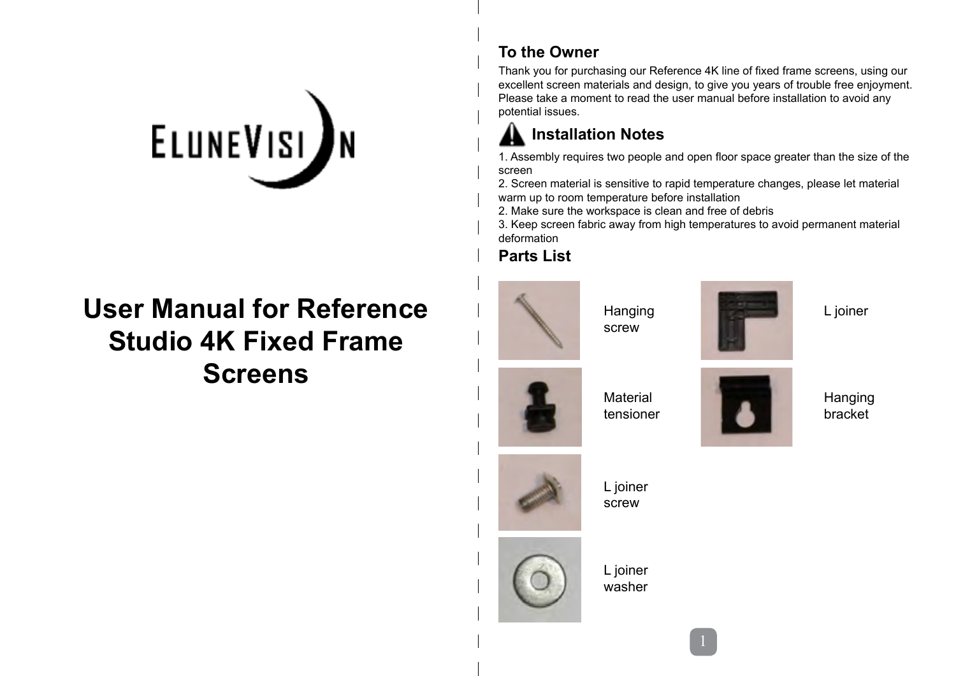# ELUNEVISI IN

# **User Manual for Reference Studio 4K Fixed Frame Screens**

#### **To the Owner**

Thank you for purchasing our Reference 4K line of fixed frame screens, using our excellent screen materials and design, to give you years of trouble free enjoyment. Please take a moment to read the user manual before installation to avoid any potential issues.

## **Installation Notes**

1. Assembly requires two people and open floor space greater than the size of the screen

2. Screen material is sensitive to rapid temperature changes, please let material warm up to room temperature before installation

2. Make sure the workspace is clean and free of debris

3. Keep screen fabric away from high temperatures to avoid permanent material deformation

#### **Parts List**



Hanging screw



L joiner



Material tensioner



Hanging bracket





L joiner washer

L joiner screw

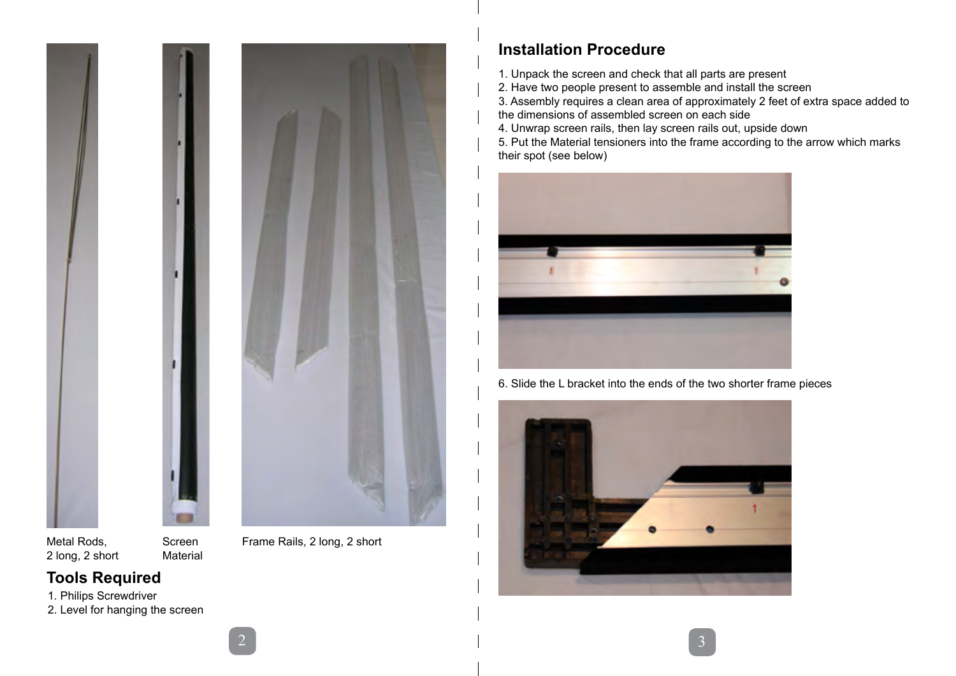

Metal Rods, 2 long, 2 short

Screen Material

Frame Rails, 2 long, 2 short

### **Tools Required**

1. Philips Screwdriver

2. Level for hanging the screen

#### **Installation Procedure**

1. Unpack the screen and check that all parts are present

2. Have two people present to assemble and install the screen

3. Assembly requires a clean area of approximately 2 feet of extra space added to the dimensions of assembled screen on each side

4. Unwrap screen rails, then lay screen rails out, upside down

5. Put the Material tensioners into the frame according to the arrow which marks their spot (see below)



6. Slide the L bracket into the ends of the two shorter frame pieces

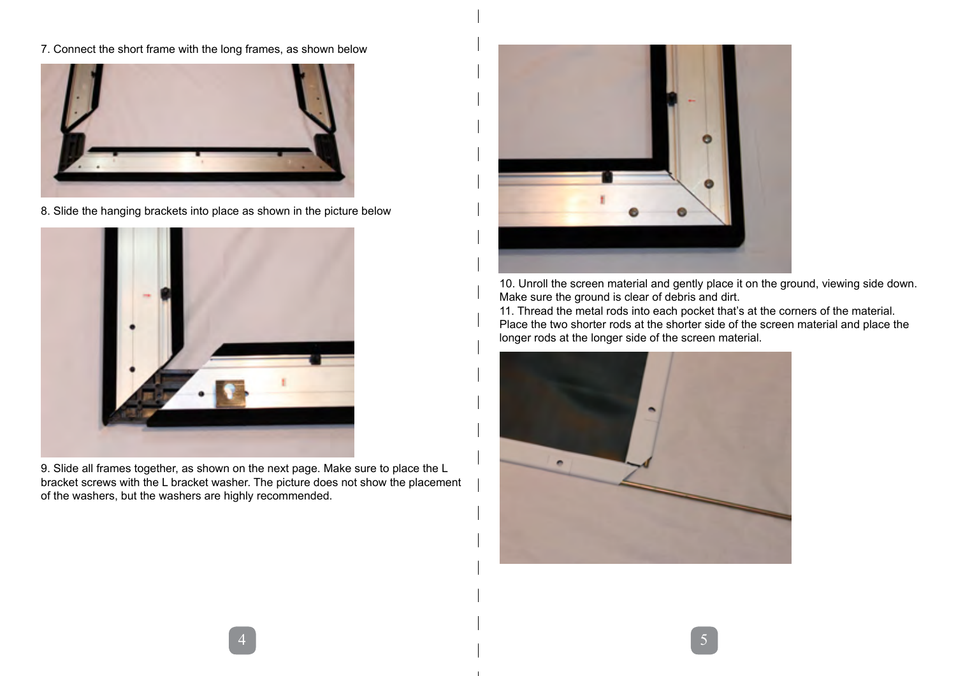7. Connect the short frame with the long frames, as shown below



8. Slide the hanging brackets into place as shown in the picture below



9. Slide all frames together, as shown on the next page. Make sure to place the L bracket screws with the L bracket washer. The picture does not show the placement of the washers, but the washers are highly recommended.



10. Unroll the screen material and gently place it on the ground, viewing side down. Make sure the ground is clear of debris and dirt.

11. Thread the metal rods into each pocket that's at the corners of the material. Place the two shorter rods at the shorter side of the screen material and place the longer rods at the longer side of the screen material.